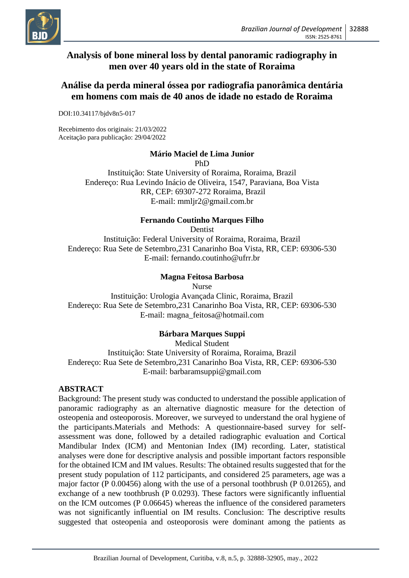

# **Analysis of bone mineral loss by dental panoramic radiography in men over 40 years old in the state of Roraima**

# **Análise da perda mineral óssea por radiografia panorâmica dentária em homens com mais de 40 anos de idade no estado de Roraima**

DOI:10.34117/bjdv8n5-017

Recebimento dos originais: 21/03/2022 Aceitação para publicação: 29/04/2022

# **Mário Maciel de Lima Junior**

PhD

Instituição: State University of Roraima, Roraima, Brazil Endereço: Rua Levindo Inácio de Oliveira, 1547, Paraviana, Boa Vista RR, CEP: 69307-272 Roraima, Brazil E-mail: mmljr2@gmail.com.br

#### **Fernando Coutinho Marques Filho**

Dentist

Instituição: Federal University of Roraima, Roraima, Brazil Endereço: Rua Sete de Setembro,231 Canarinho Boa Vista, RR, CEP: 69306-530 E-mail: fernando.coutinho@ufrr.br

# **Magna Feitosa Barbosa**

Nurse Instituição: Urologia Avançada Clinic, Roraima, Brazil Endereço: Rua Sete de Setembro,231 Canarinho Boa Vista, RR, CEP: 69306-530 E-mail: magna\_feitosa@hotmail.com

# **Bárbara Marques Suppi**

Medical Student Instituição: State University of Roraima, Roraima, Brazil Endereço: Rua Sete de Setembro,231 Canarinho Boa Vista, RR, CEP: 69306-530 E-mail: barbaramsuppi@gmail.com

# **ABSTRACT**

Background: The present study was conducted to understand the possible application of panoramic radiography as an alternative diagnostic measure for the detection of osteopenia and osteoporosis. Moreover, we surveyed to understand the oral hygiene of the participants.Materials and Methods: A questionnaire-based survey for selfassessment was done, followed by a detailed radiographic evaluation and Cortical Mandibular Index (ICM) and Mentonian Index (IM) recording. Later, statistical analyses were done for descriptive analysis and possible important factors responsible for the obtained ICM and IM values. Results: The obtained results suggested that for the present study population of 112 participants, and considered 25 parameters, age was a major factor (P 0.00456) along with the use of a personal toothbrush (P 0.01265), and exchange of a new toothbrush (P 0.0293). These factors were significantly influential on the ICM outcomes (P 0.06645) whereas the influence of the considered parameters was not significantly influential on IM results. Conclusion: The descriptive results suggested that osteopenia and osteoporosis were dominant among the patients as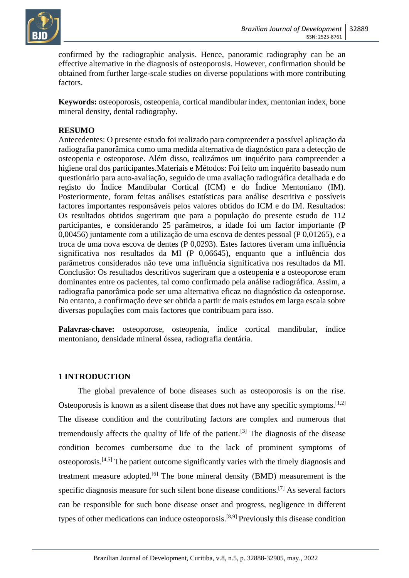

confirmed by the radiographic analysis. Hence, panoramic radiography can be an effective alternative in the diagnosis of osteoporosis. However, confirmation should be obtained from further large-scale studies on diverse populations with more contributing factors.

**Keywords:** osteoporosis, osteopenia, cortical mandibular index, mentonian index, bone mineral density, dental radiography.

# **RESUMO**

Antecedentes: O presente estudo foi realizado para compreender a possível aplicação da radiografia panorâmica como uma medida alternativa de diagnóstico para a detecção de osteopenia e osteoporose. Além disso, realizámos um inquérito para compreender a higiene oral dos participantes.Materiais e Métodos: Foi feito um inquérito baseado num questionário para auto-avaliação, seguido de uma avaliação radiográfica detalhada e do registo do Índice Mandibular Cortical (ICM) e do Índice Mentoniano (IM). Posteriormente, foram feitas análises estatísticas para análise descritiva e possíveis factores importantes responsáveis pelos valores obtidos do ICM e do IM. Resultados: Os resultados obtidos sugeriram que para a população do presente estudo de 112 participantes, e considerando 25 parâmetros, a idade foi um factor importante (P 0,00456) juntamente com a utilização de uma escova de dentes pessoal (P 0,01265), e a troca de uma nova escova de dentes (P 0,0293). Estes factores tiveram uma influência significativa nos resultados da MI (P 0,06645), enquanto que a influência dos parâmetros considerados não teve uma influência significativa nos resultados da MI. Conclusão: Os resultados descritivos sugeriram que a osteopenia e a osteoporose eram dominantes entre os pacientes, tal como confirmado pela análise radiográfica. Assim, a radiografia panorâmica pode ser uma alternativa eficaz no diagnóstico da osteoporose. No entanto, a confirmação deve ser obtida a partir de mais estudos em larga escala sobre diversas populações com mais factores que contribuam para isso.

**Palavras-chave:** osteoporose, osteopenia, índice cortical mandibular, índice mentoniano, densidade mineral óssea, radiografia dentária.

# **1 INTRODUCTION**

The global prevalence of bone diseases such as osteoporosis is on the rise. Osteoporosis is known as a silent disease that does not have any specific symptoms.<sup>[1,2]</sup> The disease condition and the contributing factors are complex and numerous that tremendously affects the quality of life of the patient.[3] The diagnosis of the disease condition becomes cumbersome due to the lack of prominent symptoms of osteoporosis.[4,5] The patient outcome significantly varies with the timely diagnosis and treatment measure adopted.<sup>[6]</sup> The bone mineral density (BMD) measurement is the specific diagnosis measure for such silent bone disease conditions.<sup>[7]</sup> As several factors can be responsible for such bone disease onset and progress, negligence in different types of other medications can induce osteoporosis.[8,9] Previously this disease condition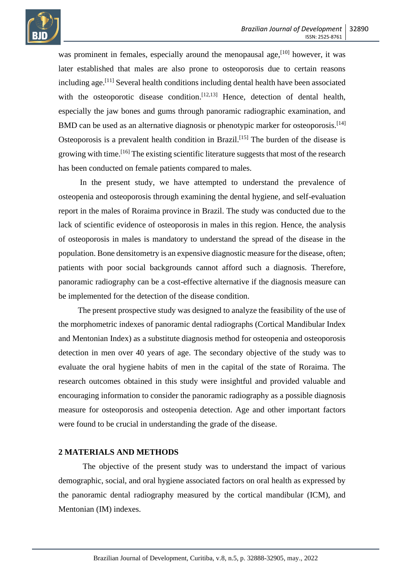

was prominent in females, especially around the menopausal age,  $[10]$  however, it was later established that males are also prone to osteoporosis due to certain reasons including age.[11] Several health conditions including dental health have been associated with the osteoporotic disease condition.<sup>[12,13]</sup> Hence, detection of dental health, especially the jaw bones and gums through panoramic radiographic examination, and BMD can be used as an alternative diagnosis or phenotypic marker for osteoporosis.<sup>[14]</sup> Osteoporosis is a prevalent health condition in Brazil.<sup>[15]</sup> The burden of the disease is growing with time.<sup>[16]</sup> The existing scientific literature suggests that most of the research has been conducted on female patients compared to males.

In the present study, we have attempted to understand the prevalence of osteopenia and osteoporosis through examining the dental hygiene, and self-evaluation report in the males of Roraima province in Brazil. The study was conducted due to the lack of scientific evidence of osteoporosis in males in this region. Hence, the analysis of osteoporosis in males is mandatory to understand the spread of the disease in the population. Bone densitometry is an expensive diagnostic measure for the disease, often; patients with poor social backgrounds cannot afford such a diagnosis. Therefore, panoramic radiography can be a cost-effective alternative if the diagnosis measure can be implemented for the detection of the disease condition.

The present prospective study was designed to analyze the feasibility of the use of the morphometric indexes of panoramic dental radiographs (Cortical Mandibular Index and Mentonian Index) as a substitute diagnosis method for osteopenia and osteoporosis detection in men over 40 years of age. The secondary objective of the study was to evaluate the oral hygiene habits of men in the capital of the state of Roraima. The research outcomes obtained in this study were insightful and provided valuable and encouraging information to consider the panoramic radiography as a possible diagnosis measure for osteoporosis and osteopenia detection. Age and other important factors were found to be crucial in understanding the grade of the disease.

#### **2 MATERIALS AND METHODS**

The objective of the present study was to understand the impact of various demographic, social, and oral hygiene associated factors on oral health as expressed by the panoramic dental radiography measured by the cortical mandibular (ICM), and Mentonian (IM) indexes.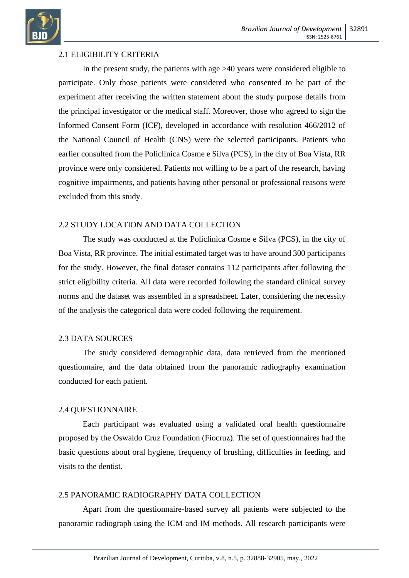

# 2.1 ELIGIBILITY CRITERIA

In the present study, the patients with age  $>40$  years were considered eligible to participate. Only those patients were considered who consented to be part of the experiment after receiving the written statement about the study purpose details from the principal investigator or the medical staff. Moreover, those who agreed to sign the Informed Consent Form (ICF), developed in accordance with resolution 466/2012 of the National Council of Health (CNS) were the selected participants. Patients who earlier consulted from the Policlínica Cosme e Silva (PCS), in the city of Boa Vista, RR province were only considered. Patients not willing to be a part of the research, having cognitive impairments, and patients having other personal or professional reasons were excluded from this study.

#### 2.2 STUDY LOCATION AND DATA COLLECTION

The study was conducted at the Policlínica Cosme e Silva (PCS), in the city of Boa Vista, RR province. The initial estimated target was to have around 300 participants for the study. However, the final dataset contains 112 participants after following the strict eligibility criteria. All data were recorded following the standard clinical survey norms and the dataset was assembled in a spreadsheet. Later, considering the necessity of the analysis the categorical data were coded following the requirement.

#### 2.3 DATA SOURCES

The study considered demographic data, data retrieved from the mentioned questionnaire, and the data obtained from the panoramic radiography examination conducted for each patient.

#### 2.4 QUESTIONNAIRE

Each participant was evaluated using a validated oral health questionnaire proposed by the Oswaldo Cruz Foundation (Fiocruz). The set of questionnaires had the basic questions about oral hygiene, frequency of brushing, difficulties in feeding, and visits to the dentist.

#### 2.5 PANORAMIC RADIOGRAPHY DATA COLLECTION

Apart from the questionnaire-based survey all patients were subjected to the panoramic radiograph using the ICM and IM methods. All research participants were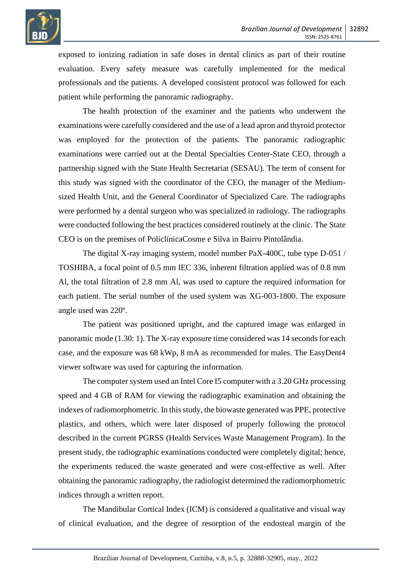

exposed to ionizing radiation in safe doses in dental clinics as part of their routine evaluation. Every safety measure was carefully implemented for the medical professionals and the patients. A developed consistent protocol was followed for each patient while performing the panoramic radiography.

The health protection of the examiner and the patients who underwent the examinations were carefully considered and the use of a lead apron and thyroid protector was employed for the protection of the patients. The panoramic radiographic examinations were carried out at the Dental Specialties Center-State CEO, through a partnership signed with the State Health Secretariat (SESAU). The term of consent for this study was signed with the coordinator of the CEO, the manager of the Mediumsized Health Unit, and the General Coordinator of Specialized Care. The radiographs were performed by a dental surgeon who was specialized in radiology. The radiographs were conducted following the best practices considered routinely at the clinic. The State CEO is on the premises of PoliclínicaCosme e Silva in Bairro Pintolândia.

The digital X-ray imaging system, model number PaX-400C, tube type D-051 / TOSHIBA, a focal point of 0.5 mm IEC 336, inherent filtration applied was of 0.8 mm Al, the total filtration of 2.8 mm Al, was used to capture the required information for each patient. The serial number of the used system was XG-003-1800. The exposure angle used was 220º.

The patient was positioned upright, and the captured image was enlarged in panoramic mode (1.30: 1). The X-ray exposure time considered was 14 seconds for each case, and the exposure was 68 kWp, 8 mA as recommended for males. The EasyDent4 viewer software was used for capturing the information.

The computer system used an Intel Core I5 computer with a 3.20 GHz processing speed and 4 GB of RAM for viewing the radiographic examination and obtaining the indexes of radiomorphometric. In this study, the biowaste generated was PPE, protective plastics, and others, which were later disposed of properly following the protocol described in the current PGRSS (Health Services Waste Management Program). In the present study, the radiographic examinations conducted were completely digital; hence, the experiments reduced the waste generated and were cost-effective as well. After obtaining the panoramic radiography, the radiologist determined the radiomorphometric indices through a written report.

The Mandibular Cortical Index (ICM) is considered a qualitative and visual way of clinical evaluation, and the degree of resorption of the endosteal margin of the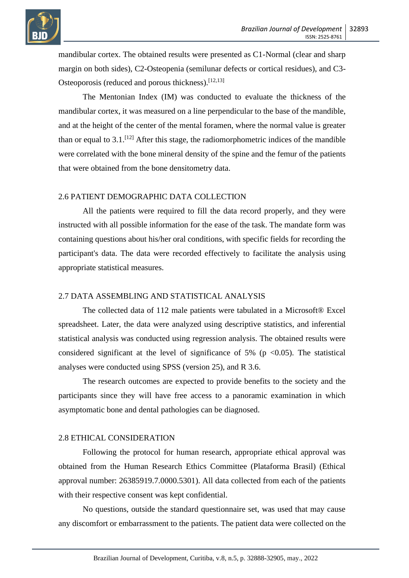



mandibular cortex. The obtained results were presented as C1-Normal (clear and sharp margin on both sides), C2-Osteopenia (semilunar defects or cortical residues), and C3- Osteoporosis (reduced and porous thickness).<sup>[12,13]</sup>

The Mentonian Index (IM) was conducted to evaluate the thickness of the mandibular cortex, it was measured on a line perpendicular to the base of the mandible, and at the height of the center of the mental foramen, where the normal value is greater than or equal to  $3.1$ .<sup>[12]</sup> After this stage, the radiomorphometric indices of the mandible were correlated with the bone mineral density of the spine and the femur of the patients that were obtained from the bone densitometry data.

#### 2.6 PATIENT DEMOGRAPHIC DATA COLLECTION

All the patients were required to fill the data record properly, and they were instructed with all possible information for the ease of the task. The mandate form was containing questions about his/her oral conditions, with specific fields for recording the participant's data. The data were recorded effectively to facilitate the analysis using appropriate statistical measures.

#### 2.7 DATA ASSEMBLING AND STATISTICAL ANALYSIS

The collected data of 112 male patients were tabulated in a Microsoft® Excel spreadsheet. Later, the data were analyzed using descriptive statistics, and inferential statistical analysis was conducted using regression analysis. The obtained results were considered significant at the level of significance of 5% ( $p \le 0.05$ ). The statistical analyses were conducted using SPSS (version 25), and R 3.6.

The research outcomes are expected to provide benefits to the society and the participants since they will have free access to a panoramic examination in which asymptomatic bone and dental pathologies can be diagnosed.

#### 2.8 ETHICAL CONSIDERATION

Following the protocol for human research, appropriate ethical approval was obtained from the Human Research Ethics Committee (Plataforma Brasil) (Ethical approval number: 26385919.7.0000.5301). All data collected from each of the patients with their respective consent was kept confidential.

No questions, outside the standard questionnaire set, was used that may cause any discomfort or embarrassment to the patients. The patient data were collected on the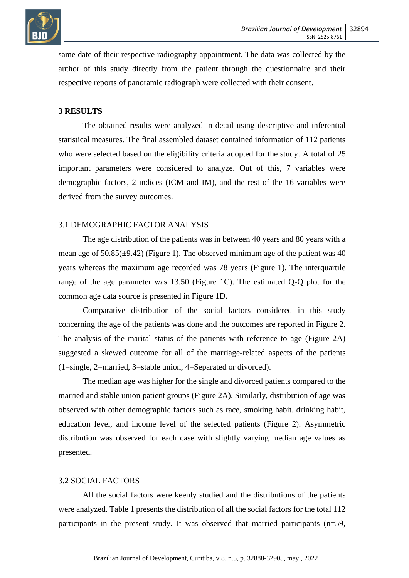

same date of their respective radiography appointment. The data was collected by the author of this study directly from the patient through the questionnaire and their respective reports of panoramic radiograph were collected with their consent.

# **3 RESULTS**

The obtained results were analyzed in detail using descriptive and inferential statistical measures. The final assembled dataset contained information of 112 patients who were selected based on the eligibility criteria adopted for the study. A total of 25 important parameters were considered to analyze. Out of this, 7 variables were demographic factors, 2 indices (ICM and IM), and the rest of the 16 variables were derived from the survey outcomes.

#### 3.1 DEMOGRAPHIC FACTOR ANALYSIS

The age distribution of the patients was in between 40 years and 80 years with a mean age of  $50.85(\pm 9.42)$  (Figure 1). The observed minimum age of the patient was 40 years whereas the maximum age recorded was 78 years (Figure 1). The interquartile range of the age parameter was 13.50 (Figure 1C). The estimated Q-Q plot for the common age data source is presented in Figure 1D.

Comparative distribution of the social factors considered in this study concerning the age of the patients was done and the outcomes are reported in Figure 2. The analysis of the marital status of the patients with reference to age (Figure 2A) suggested a skewed outcome for all of the marriage-related aspects of the patients (1=single, 2=married, 3=stable union, 4=Separated or divorced).

The median age was higher for the single and divorced patients compared to the married and stable union patient groups (Figure 2A). Similarly, distribution of age was observed with other demographic factors such as race, smoking habit, drinking habit, education level, and income level of the selected patients (Figure 2). Asymmetric distribution was observed for each case with slightly varying median age values as presented.

#### 3.2 SOCIAL FACTORS

All the social factors were keenly studied and the distributions of the patients were analyzed. Table 1 presents the distribution of all the social factors for the total 112 participants in the present study. It was observed that married participants (n=59,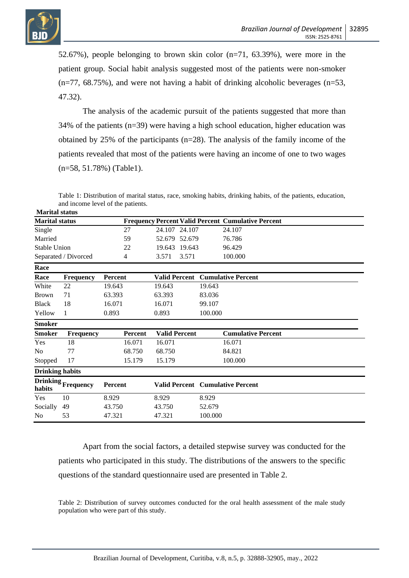

52.67%), people belonging to brown skin color (n=71, 63.39%), were more in the patient group. Social habit analysis suggested most of the patients were non-smoker  $(n=77, 68.75%)$ , and were not having a habit of drinking alcoholic beverages  $(n=53,$ 47.32).

The analysis of the academic pursuit of the patients suggested that more than 34% of the patients (n=39) were having a high school education, higher education was obtained by 25% of the participants (n=28). The analysis of the family income of the patients revealed that most of the patients were having an income of one to two wages (n=58, 51.78%) (Table1).

Table 1: Distribution of marital status, race, smoking habits, drinking habits, of the patients, education, and income level of the patients. **Marital status**

| iviai näi status       |                      |                |                      |                                                           |
|------------------------|----------------------|----------------|----------------------|-----------------------------------------------------------|
| <b>Marital status</b>  |                      |                |                      | <b>Frequency Percent Valid Percent Cumulative Percent</b> |
| Single                 |                      | 27             | 24.107 24.107        | 24.107                                                    |
| Married                |                      | 59             | 52.679<br>52.679     | 76.786                                                    |
| <b>Stable Union</b>    |                      | 22             | 19.643<br>19.643     | 96.429                                                    |
|                        | Separated / Divorced | 4              | 3.571<br>3.571       | 100.000                                                   |
| Race                   |                      |                |                      |                                                           |
| Race                   | <b>Frequency</b>     | Percent        | <b>Valid Percent</b> | <b>Cumulative Percent</b>                                 |
| White                  | 22                   | 19.643         | 19.643               | 19.643                                                    |
| <b>Brown</b>           | 71                   | 63.393         | 63.393               | 83.036                                                    |
| <b>Black</b>           | 18                   | 16.071         | 16.071               | 99.107                                                    |
| Yellow                 | 1                    | 0.893          | 0.893                | 100.000                                                   |
| <b>Smoker</b>          |                      |                |                      |                                                           |
| <b>Smoker</b>          | <b>Frequency</b>     | <b>Percent</b> | <b>Valid Percent</b> | <b>Cumulative Percent</b>                                 |
| Yes                    | 18                   | 16.071         | 16.071               | 16.071                                                    |
| No                     | 77                   | 68.750         | 68.750               | 84.821                                                    |
| Stopped                | 17                   | 15.179         | 15.179               | 100.000                                                   |
| <b>Drinking habits</b> |                      |                |                      |                                                           |
| habits                 | Drinking Frequency   | Percent        |                      | <b>Valid Percent</b> Cumulative Percent                   |
| Yes                    | 10                   | 8.929          | 8.929                | 8.929                                                     |
| Socially               | 49                   | 43.750         | 43.750               | 52.679                                                    |
| N <sub>0</sub>         | 53                   | 47.321         | 47.321               | 100.000                                                   |

Apart from the social factors, a detailed stepwise survey was conducted for the patients who participated in this study. The distributions of the answers to the specific questions of the standard questionnaire used are presented in Table 2.

Table 2: Distribution of survey outcomes conducted for the oral health assessment of the male study population who were part of this study.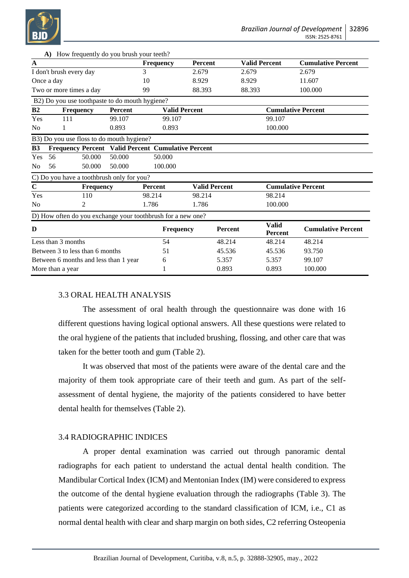

|                                       | A) How frequently do you brush your teem!                   |                  |                      |                                        |                      |                                |                           |         |
|---------------------------------------|-------------------------------------------------------------|------------------|----------------------|----------------------------------------|----------------------|--------------------------------|---------------------------|---------|
| $\mathbf A$                           |                                                             | <b>Frequency</b> |                      | <b>Valid Percent</b><br><b>Percent</b> |                      |                                | <b>Cumulative Percent</b> |         |
| I don't brush every day               |                                                             |                  | 3                    | 2.679                                  |                      | 2.679                          |                           | 2.679   |
| Once a day                            |                                                             |                  | 10                   | 8.929                                  |                      | 8.929                          |                           | 11.607  |
| Two or more times a day               |                                                             |                  | 99                   | 88.393                                 |                      | 88.393                         |                           | 100.000 |
|                                       | B2) Do you use toothpaste to do mouth hygiene?              |                  |                      |                                        |                      |                                |                           |         |
| B <sub>2</sub><br><b>Frequency</b>    |                                                             | <b>Percent</b>   | <b>Valid Percent</b> |                                        |                      | <b>Cumulative Percent</b>      |                           |         |
| Yes                                   | 111                                                         | 99.107           | 99.107               |                                        |                      |                                | 99.107                    |         |
| N <sub>0</sub>                        | 1                                                           | 0.893<br>0.893   |                      |                                        |                      | 100.000                        |                           |         |
|                                       | B3) Do you use floss to do mouth hygiene?                   |                  |                      |                                        |                      |                                |                           |         |
| <b>B3</b>                             | Frequency Percent Valid Percent Cumulative Percent          |                  |                      |                                        |                      |                                |                           |         |
| Yes                                   | 56<br>50.000                                                | 50.000           | 50.000               |                                        |                      |                                |                           |         |
| N <sub>0</sub>                        | 50.000<br>56                                                | 50.000           | 100.000              |                                        |                      |                                |                           |         |
|                                       | C) Do you have a toothbrush only for you?                   |                  |                      |                                        |                      |                                |                           |         |
| $\mathbf C$                           | <b>Frequency</b>                                            |                  | <b>Percent</b>       |                                        | <b>Valid Percent</b> |                                | <b>Cumulative Percent</b> |         |
| Yes                                   | 110                                                         |                  | 98.214               |                                        | 98.214               |                                | 98.214                    |         |
| 2<br>N <sub>0</sub>                   |                                                             | 1.786            |                      | 1.786                                  |                      | 100.000                        |                           |         |
|                                       | D) How often do you exchange your toothbrush for a new one? |                  |                      |                                        |                      |                                |                           |         |
| D                                     |                                                             | <b>Frequency</b> |                      | Percent                                |                      | <b>Valid</b><br><b>Percent</b> | <b>Cumulative Percent</b> |         |
| Less than 3 months                    |                                                             |                  | 54                   |                                        | 48.214               |                                | 48.214                    | 48.214  |
| Between 3 to less than 6 months       |                                                             |                  | 51                   |                                        | 45.536               |                                | 45.536                    | 93.750  |
| Between 6 months and less than 1 year |                                                             |                  | 6                    |                                        | 5.357                |                                | 5.357                     | 99.107  |
| More than a year                      |                                                             |                  |                      |                                        | 0.893                |                                | 0.893                     | 100.000 |

# 3.3 ORAL HEALTH ANALYSIS

**A)** How frequently do you brush your teeth?

The assessment of oral health through the questionnaire was done with 16 different questions having logical optional answers. All these questions were related to the oral hygiene of the patients that included brushing, flossing, and other care that was taken for the better tooth and gum (Table 2).

It was observed that most of the patients were aware of the dental care and the majority of them took appropriate care of their teeth and gum. As part of the selfassessment of dental hygiene, the majority of the patients considered to have better dental health for themselves (Table 2).

# 3.4 RADIOGRAPHIC INDICES

A proper dental examination was carried out through panoramic dental radiographs for each patient to understand the actual dental health condition. The Mandibular Cortical Index (ICM) and Mentonian Index (IM) were considered to express the outcome of the dental hygiene evaluation through the radiographs (Table 3). The patients were categorized according to the standard classification of ICM, i.e., C1 as normal dental health with clear and sharp margin on both sides, C2 referring Osteopenia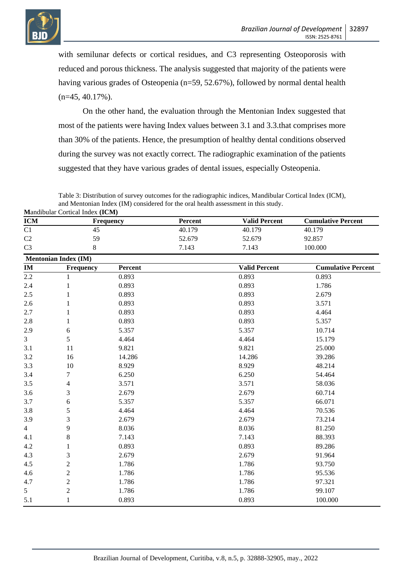

with semilunar defects or cortical residues, and C3 representing Osteoporosis with reduced and porous thickness. The analysis suggested that majority of the patients were having various grades of Osteopenia (n=59, 52.67%), followed by normal dental health  $(n=45, 40.17\%)$ .

On the other hand, the evaluation through the Mentonian Index suggested that most of the patients were having Index values between 3.1 and 3.3.that comprises more than 30% of the patients. Hence, the presumption of healthy dental conditions observed during the survey was not exactly correct. The radiographic examination of the patients suggested that they have various grades of dental issues, especially Osteopenia.

Table 3: Distribution of survey outcomes for the radiographic indices, Mandibular Cortical Index (ICM), and Mentonian Index (IM) considered for the oral health assessment in this study. **M**andibular Cortical Index **(ICM)**

| <b>ICM</b>     | <b>Mandoular Cortical Index (ICM)</b><br>Frequency |         | Percent        | <b>Valid Percent</b> | <b>Cumulative Percent</b> |  |
|----------------|----------------------------------------------------|---------|----------------|----------------------|---------------------------|--|
| C1             | 45                                                 |         | 40.179         | 40.179               | 40.179                    |  |
| C2             | 59                                                 |         | 52.679         | 52.679               | 92.857                    |  |
| C <sub>3</sub> | 8                                                  |         | 7.143<br>7.143 |                      | 100.000                   |  |
|                | <b>Mentonian Index (IM)</b>                        |         |                |                      |                           |  |
| $\mathbf{IM}$  | Frequency                                          | Percent |                | <b>Valid Percent</b> | <b>Cumulative Percent</b> |  |
| 2.2            | 1                                                  | 0.893   |                | 0.893                | 0.893                     |  |
| 2.4            | 1                                                  | 0.893   |                | 0.893                | 1.786                     |  |
| 2.5            | 1                                                  | 0.893   |                | 0.893                | 2.679                     |  |
| 2.6            | 1                                                  | 0.893   |                | 0.893                | 3.571                     |  |
| 2.7            | 1                                                  | 0.893   |                | 0.893                | 4.464                     |  |
| 2.8            | 1                                                  | 0.893   |                | 0.893                | 5.357                     |  |
| 2.9            | 6                                                  | 5.357   |                | 5.357                | 10.714                    |  |
| 3              | 5                                                  | 4.464   |                | 4.464                | 15.179                    |  |
| 3.1            | 11                                                 | 9.821   |                | 9.821                | 25.000                    |  |
| 3.2            | 16                                                 | 14.286  |                | 14.286               | 39.286                    |  |
| 3.3            | 10                                                 | 8.929   |                | 8.929                | 48.214                    |  |
| 3.4            | 7                                                  | 6.250   |                | 6.250                | 54.464                    |  |
| 3.5            | $\overline{\mathcal{L}}$                           | 3.571   |                | 3.571                | 58.036                    |  |
| 3.6            | 3                                                  | 2.679   |                | 2.679                | 60.714                    |  |
| 3.7            | 6                                                  | 5.357   |                | 5.357                | 66.071                    |  |
| 3.8            | 5                                                  | 4.464   |                | 4.464                | 70.536                    |  |
| 3.9            | 3                                                  | 2.679   |                | 2.679                | 73.214                    |  |
| $\overline{4}$ | 9                                                  | 8.036   |                | 8.036                | 81.250                    |  |
| 4.1            | $\,8\,$                                            | 7.143   |                | 7.143                | 88.393                    |  |
| 4.2            | 1                                                  | 0.893   |                | 0.893                | 89.286                    |  |
| 4.3            | 3                                                  | 2.679   |                | 2.679                | 91.964                    |  |
| 4.5            | $\boldsymbol{2}$                                   | 1.786   |                | 1.786                | 93.750                    |  |
| 4.6            | $\sqrt{2}$                                         | 1.786   |                | 1.786                | 95.536                    |  |
| 4.7            | $\overline{2}$                                     | 1.786   |                | 1.786                | 97.321                    |  |
| 5              | $\mathbf{2}$                                       | 1.786   |                | 1.786                | 99.107                    |  |
| 5.1            | 1                                                  | 0.893   |                | 0.893                | 100.000                   |  |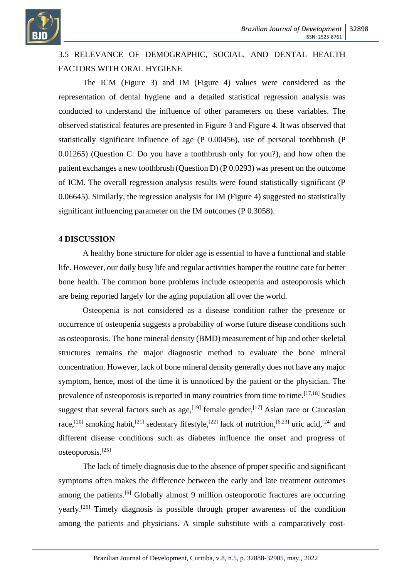

# 3.5 RELEVANCE OF DEMOGRAPHIC, SOCIAL, AND DENTAL HEALTH FACTORS WITH ORAL HYGIENE

The ICM (Figure 3) and IM (Figure 4) values were considered as the representation of dental hygiene and a detailed statistical regression analysis was conducted to understand the influence of other parameters on these variables. The observed statistical features are presented in Figure 3 and Figure 4. It was observed that statistically significant influence of age (P 0.00456), use of personal toothbrush (P 0.01265) (Question C: Do you have a toothbrush only for you?), and how often the patient exchanges a new toothbrush (Question D) (P 0.0293) was present on the outcome of ICM. The overall regression analysis results were found statistically significant (P 0.06645). Similarly, the regression analysis for IM (Figure 4) suggested no statistically significant influencing parameter on the IM outcomes (P 0.3058).

#### **4 DISCUSSION**

A healthy bone structure for older age is essential to have a functional and stable life. However, our daily busy life and regular activities hamper the routine care for better bone health. The common bone problems include osteopenia and osteoporosis which are being reported largely for the aging population all over the world.

Osteopenia is not considered as a disease condition rather the presence or occurrence of osteopenia suggests a probability of worse future disease conditions such as osteoporosis. The bone mineral density (BMD) measurement of hip and other skeletal structures remains the major diagnostic method to evaluate the bone mineral concentration. However, lack of bone mineral density generally does not have any major symptom, hence, most of the time it is unnoticed by the patient or the physician. The prevalence of osteoporosis is reported in many countries from time to time.  $[17,18]$  Studies suggest that several factors such as age,  $[19]$  female gender,  $[17]$  Asian race or Caucasian race,<sup>[20]</sup> smoking habit,<sup>[21]</sup> sedentary lifestyle,<sup>[22]</sup> lack of nutrition,<sup>[6,23]</sup> uric acid,<sup>[24]</sup> and different disease conditions such as diabetes influence the onset and progress of osteoporosis.[25]

The lack of timely diagnosis due to the absence of proper specific and significant symptoms often makes the difference between the early and late treatment outcomes among the patients.<sup>[6]</sup> Globally almost 9 million osteoporotic fractures are occurring yearly.[26] Timely diagnosis is possible through proper awareness of the condition among the patients and physicians. A simple substitute with a comparatively cost-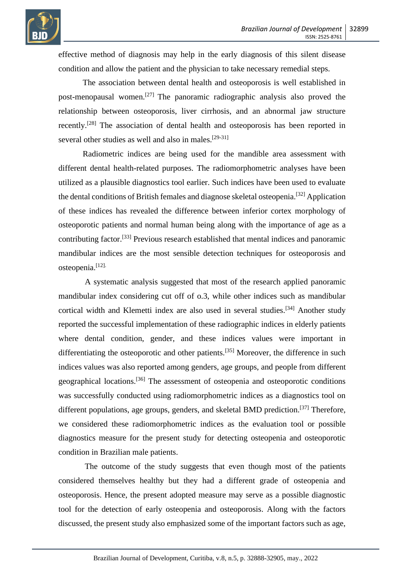

effective method of diagnosis may help in the early diagnosis of this silent disease condition and allow the patient and the physician to take necessary remedial steps.

The association between dental health and osteoporosis is well established in post-menopausal women.[27] The panoramic radiographic analysis also proved the relationship between osteoporosis, liver cirrhosis, and an abnormal jaw structure recently.[28] The association of dental health and osteoporosis has been reported in several other studies as well and also in males.<sup>[29-31]</sup>

Radiometric indices are being used for the mandible area assessment with different dental health-related purposes. The radiomorphometric analyses have been utilized as a plausible diagnostics tool earlier. Such indices have been used to evaluate the dental conditions of British females and diagnose skeletal osteopenia.[32] Application of these indices has revealed the difference between inferior cortex morphology of osteoporotic patients and normal human being along with the importance of age as a contributing factor.[33] Previous research established that mental indices and panoramic mandibular indices are the most sensible detection techniques for osteoporosis and osteopenia.[12].

A systematic analysis suggested that most of the research applied panoramic mandibular index considering cut off of o.3, while other indices such as mandibular cortical width and Klemetti index are also used in several studies.<sup>[34]</sup> Another study reported the successful implementation of these radiographic indices in elderly patients where dental condition, gender, and these indices values were important in differentiating the osteoporotic and other patients.<sup>[35]</sup> Moreover, the difference in such indices values was also reported among genders, age groups, and people from different geographical locations.[36] The assessment of osteopenia and osteoporotic conditions was successfully conducted using radiomorphometric indices as a diagnostics tool on different populations, age groups, genders, and skeletal BMD prediction.<sup>[37]</sup> Therefore, we considered these radiomorphometric indices as the evaluation tool or possible diagnostics measure for the present study for detecting osteopenia and osteoporotic condition in Brazilian male patients.

The outcome of the study suggests that even though most of the patients considered themselves healthy but they had a different grade of osteopenia and osteoporosis. Hence, the present adopted measure may serve as a possible diagnostic tool for the detection of early osteopenia and osteoporosis. Along with the factors discussed, the present study also emphasized some of the important factors such as age,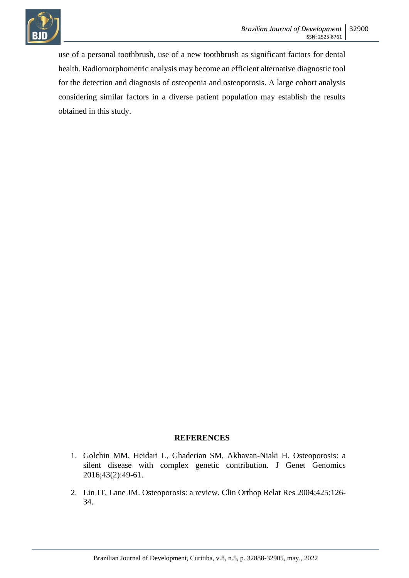

use of a personal toothbrush, use of a new toothbrush as significant factors for dental health. Radiomorphometric analysis may become an efficient alternative diagnostic tool for the detection and diagnosis of osteopenia and osteoporosis. A large cohort analysis considering similar factors in a diverse patient population may establish the results obtained in this study.

#### **REFERENCES**

- 1. Golchin MM, Heidari L, Ghaderian SM, Akhavan-Niaki H. Osteoporosis: a silent disease with complex genetic contribution. J Genet Genomics 2016;43(2):49-61.
- 2. Lin JT, Lane JM. Osteoporosis: a review. Clin Orthop Relat Res 2004;425:126- 34.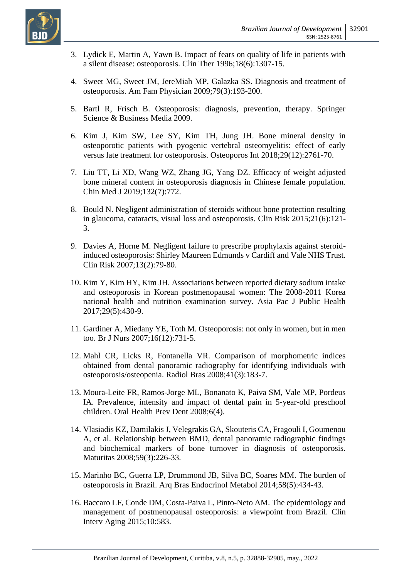

- 3. Lydick E, Martin A, Yawn B. Impact of fears on quality of life in patients with a silent disease: osteoporosis. Clin Ther 1996;18(6):1307-15.
- 4. Sweet MG, Sweet JM, JereMiah MP, Galazka SS. Diagnosis and treatment of osteoporosis. Am Fam Physician 2009;79(3):193-200.
- 5. Bartl R, Frisch B. Osteoporosis: diagnosis, prevention, therapy. Springer Science & Business Media 2009.
- 6. Kim J, Kim SW, Lee SY, Kim TH, Jung JH. Bone mineral density in osteoporotic patients with pyogenic vertebral osteomyelitis: effect of early versus late treatment for osteoporosis. Osteoporos Int 2018;29(12):2761-70.
- 7. Liu TT, Li XD, Wang WZ, Zhang JG, Yang DZ. Efficacy of weight adjusted bone mineral content in osteoporosis diagnosis in Chinese female population. Chin Med J 2019;132(7):772.
- 8. Bould N. Negligent administration of steroids without bone protection resulting in glaucoma, cataracts, visual loss and osteoporosis. Clin Risk 2015;21(6):121- 3.
- 9. Davies A, Horne M. Negligent failure to prescribe prophylaxis against steroidinduced osteoporosis: Shirley Maureen Edmunds v Cardiff and Vale NHS Trust. Clin Risk 2007;13(2):79-80.
- 10. Kim Y, Kim HY, Kim JH. Associations between reported dietary sodium intake and osteoporosis in Korean postmenopausal women: The 2008-2011 Korea national health and nutrition examination survey. Asia Pac J Public Health 2017;29(5):430-9.
- 11. Gardiner A, Miedany YE, Toth M. Osteoporosis: not only in women, but in men too. Br J Nurs 2007;16(12):731-5.
- 12. Mahl CR, Licks R, Fontanella VR. Comparison of morphometric indices obtained from dental panoramic radiography for identifying individuals with osteoporosis/osteopenia. Radiol Bras 2008;41(3):183-7.
- 13. Moura-Leite FR, Ramos-Jorge ML, Bonanato K, Paiva SM, Vale MP, Pordeus IA. Prevalence, intensity and impact of dental pain in 5-year-old preschool children. Oral Health Prev Dent 2008;6(4).
- 14. Vlasiadis KZ, Damilakis J, Velegrakis GA, Skouteris CA, Fragouli I, Goumenou A, et al. Relationship between BMD, dental panoramic radiographic findings and biochemical markers of bone turnover in diagnosis of osteoporosis. Maturitas 2008;59(3):226-33.
- 15. Marinho BC, Guerra LP, Drummond JB, Silva BC, Soares MM. The burden of osteoporosis in Brazil. Arq Bras Endocrinol Metabol 2014;58(5):434-43.
- 16. Baccaro LF, Conde DM, Costa-Paiva L, Pinto-Neto AM. The epidemiology and management of postmenopausal osteoporosis: a viewpoint from Brazil. Clin Interv Aging 2015;10:583.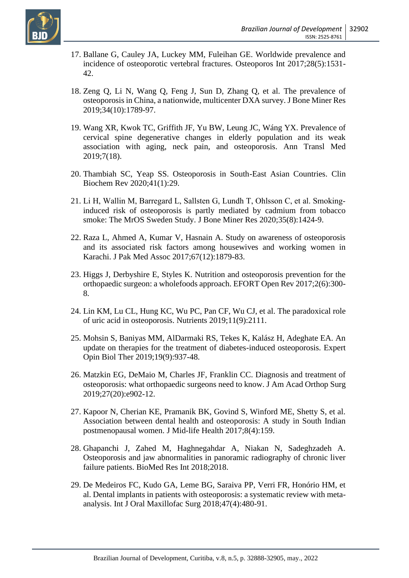

- 17. Ballane G, Cauley JA, Luckey MM, Fuleihan GE. Worldwide prevalence and incidence of osteoporotic vertebral fractures. Osteoporos Int 2017;28(5):1531- 42.
- 18. Zeng Q, Li N, Wang Q, Feng J, Sun D, Zhang Q, et al. The prevalence of osteoporosis in China, a nationwide, multicenter DXA survey. J Bone Miner Res 2019;34(10):1789-97.
- 19. Wang XR, Kwok TC, Griffith JF, Yu BW, Leung JC, Wáng YX. Prevalence of cervical spine degenerative changes in elderly population and its weak association with aging, neck pain, and osteoporosis. Ann Transl Med 2019;7(18).
- 20. Thambiah SC, Yeap SS. Osteoporosis in South-East Asian Countries. Clin Biochem Rev 2020;41(1):29.
- 21. Li H, Wallin M, Barregard L, Sallsten G, Lundh T, Ohlsson C, et al. Smoking‐ induced risk of osteoporosis is partly mediated by cadmium from tobacco smoke: The MrOS Sweden Study. J Bone Miner Res 2020;35(8):1424-9.
- 22. Raza L, Ahmed A, Kumar V, Hasnain A. Study on awareness of osteoporosis and its associated risk factors among housewives and working women in Karachi. J Pak Med Assoc 2017;67(12):1879-83.
- 23. Higgs J, Derbyshire E, Styles K. Nutrition and osteoporosis prevention for the orthopaedic surgeon: a wholefoods approach. EFORT Open Rev 2017;2(6):300- 8.
- 24. Lin KM, Lu CL, Hung KC, Wu PC, Pan CF, Wu CJ, et al. The paradoxical role of uric acid in osteoporosis. Nutrients 2019;11(9):2111.
- 25. Mohsin S, Baniyas MM, AlDarmaki RS, Tekes K, Kalász H, Adeghate EA. An update on therapies for the treatment of diabetes-induced osteoporosis. Expert Opin Biol Ther 2019;19(9):937-48.
- 26. Matzkin EG, DeMaio M, Charles JF, Franklin CC. Diagnosis and treatment of osteoporosis: what orthopaedic surgeons need to know. J Am Acad Orthop Surg 2019;27(20):e902-12.
- 27. Kapoor N, Cherian KE, Pramanik BK, Govind S, Winford ME, Shetty S, et al. Association between dental health and osteoporosis: A study in South Indian postmenopausal women. J Mid-life Health 2017;8(4):159.
- 28. Ghapanchi J, Zahed M, Haghnegahdar A, Niakan N, Sadeghzadeh A. Osteoporosis and jaw abnormalities in panoramic radiography of chronic liver failure patients. BioMed Res Int 2018;2018.
- 29. De Medeiros FC, Kudo GA, Leme BG, Saraiva PP, Verri FR, Honório HM, et al. Dental implants in patients with osteoporosis: a systematic review with metaanalysis. Int J Oral Maxillofac Surg 2018;47(4):480-91.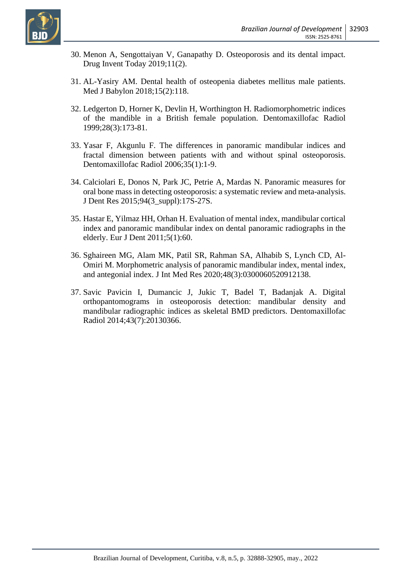

- 30. Menon A, Sengottaiyan V, Ganapathy D. Osteoporosis and its dental impact. Drug Invent Today 2019;11(2).
- 31. AL-Yasiry AM. Dental health of osteopenia diabetes mellitus male patients. Med J Babylon 2018;15(2):118.
- 32. Ledgerton D, Horner K, Devlin H, Worthington H. Radiomorphometric indices of the mandible in a British female population. Dentomaxillofac Radiol 1999;28(3):173-81.
- 33. Yasar F, Akgunlu F. The differences in panoramic mandibular indices and fractal dimension between patients with and without spinal osteoporosis. Dentomaxillofac Radiol 2006;35(1):1-9.
- 34. Calciolari E, Donos N, Park JC, Petrie A, Mardas N. Panoramic measures for oral bone mass in detecting osteoporosis: a systematic review and meta-analysis. J Dent Res 2015;94(3\_suppl):17S-27S.
- 35. Hastar E, Yilmaz HH, Orhan H. Evaluation of mental index, mandibular cortical index and panoramic mandibular index on dental panoramic radiographs in the elderly. Eur J Dent 2011;5(1):60.
- 36. Sghaireen MG, Alam MK, Patil SR, Rahman SA, Alhabib S, Lynch CD, Al-Omiri M. Morphometric analysis of panoramic mandibular index, mental index, and antegonial index. J Int Med Res 2020;48(3):0300060520912138.
- 37. Savic Pavicin I, Dumancic J, Jukic T, Badel T, Badanjak A. Digital orthopantomograms in osteoporosis detection: mandibular density and mandibular radiographic indices as skeletal BMD predictors. Dentomaxillofac Radiol 2014;43(7):20130366.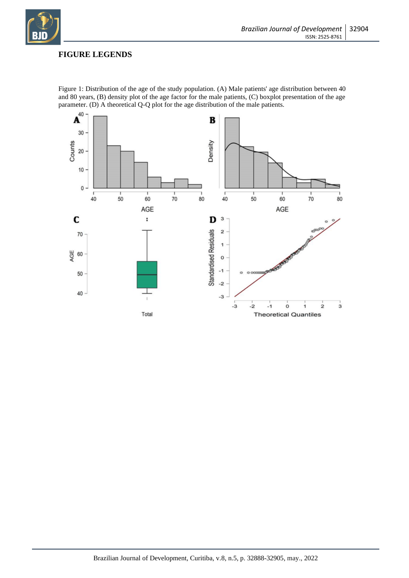

# **FIGURE LEGENDS**



Figure 1: Distribution of the age of the study population. (A) Male patients' age distribution between 40 and 80 years, (B) density plot of the age factor for the male patients, (C) boxplot presentation of the age